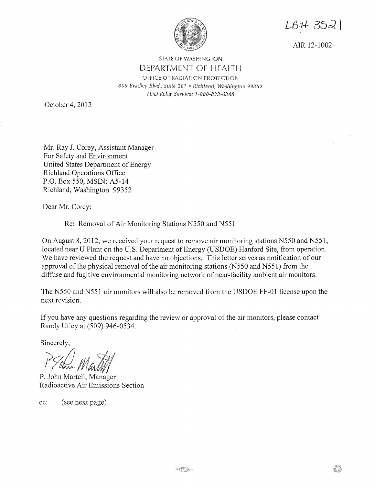

LB#3521

AIR 12-1002

## STATE OF WASHINGTON DEPARTMENT OF HEALTH OFFICE OF RADIATION PROTECTION 309 Bradley Blvd., Suite 201 · Richland, Washington 99352 *TDD Relay Service: f--800-833··6388*

October 4, 2012

Mr. Ray J. Corey, Assistant Manager For Safety and Environment United States Department of Energy Richland Operations Office P.O. Box 550, MSIN: A5-14 Richland, Washington 99352

Dear Mr. Corey:

Re: Removal of Air Monitoring Stations N550 and N55 l

On August 8, 2012, we received your request to remove air monitoring stations N550 and N551, located near U Plant on the U.S. Department of Energy (USDOE) Hanford Site, from operation. We have reviewed the request and have no objections. This letter serves as notification of our approval of the physical removal of the air monitoring stations (N550 and N551) from the diffuse and fugitive environmental monitoring network of near-facility ambient air monitors.

The N550 and N551 air monitors will also be removed from the USDOE FF-01 license upon the next revision.

If you have any questions regarding the review or approval of the air monitors, please contact Randy Utley at (509) 946-0534.

Sincerely,

*?7~/t/at,* 

P. John Martell, Manager Radioactive Air Emissions Section

cc: (see next page)